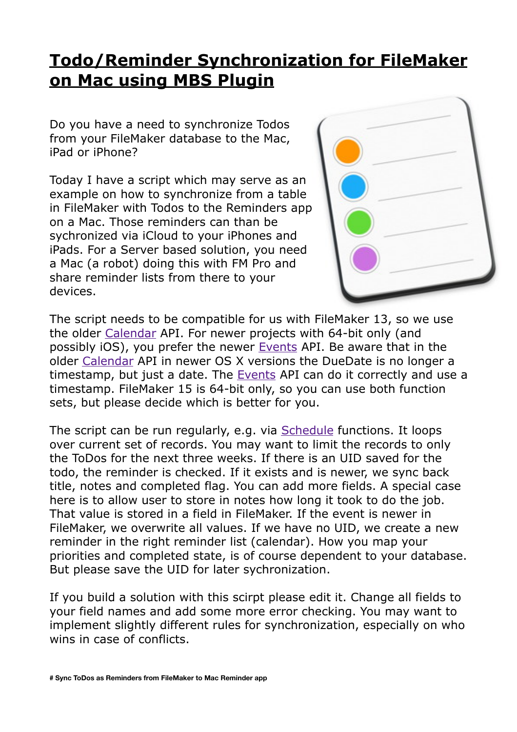## **[Todo/Reminder Synchronization for FileMaker](http://www.mbs-plugins.com/archive/2016-09-22/TodoReminder_Synchronization_f/monkeybreadsoftware_blog_filemaker)  on Mac using MBS Plugin**

Do you have a need to synchronize Todos from your FileMaker database to the Mac, iPad or iPhone?

Today I have a script which may serve as an example on how to synchronize from a table in FileMaker with Todos to the Reminders app on a Mac. Those reminders can than be sychronized via iCloud to your iPhones and iPads. For a Server based solution, you need a Mac (a robot) doing this with FM Pro and share reminder lists from there to your devices.



The script needs to be compatible for us with FileMaker 13, so we use the older [Calendar](http://www.mbsplugins.eu/component_Calendar.shtml) API. For newer projects with 64-bit only (and possibly iOS), you prefer the newer [Events](http://www.mbsplugins.eu/component_Events.shtml) API. Be aware that in the older [Calendar](http://www.mbsplugins.eu/component_Calendar.shtml) API in newer OS X versions the DueDate is no longer a timestamp, but just a date. The [Events](http://www.mbsplugins.eu/component_Events.shtml) API can do it correctly and use a timestamp. FileMaker 15 is 64-bit only, so you can use both function sets, but please decide which is better for you.

The script can be run regularly, e.g. via [Schedule](http://www.mbsplugins.eu/component_Schedule.shtml) functions. It loops over current set of records. You may want to limit the records to only the ToDos for the next three weeks. If there is an UID saved for the todo, the reminder is checked. If it exists and is newer, we sync back title, notes and completed flag. You can add more fields. A special case here is to allow user to store in notes how long it took to do the job. That value is stored in a field in FileMaker. If the event is newer in FileMaker, we overwrite all values. If we have no UID, we create a new reminder in the right reminder list (calendar). How you map your priorities and completed state, is of course dependent to your database. But please save the UID for later sychronization.

If you build a solution with this scirpt please edit it. Change all fields to your field names and add some more error checking. You may want to implement slightly different rules for synchronization, especially on who wins in case of conflicts.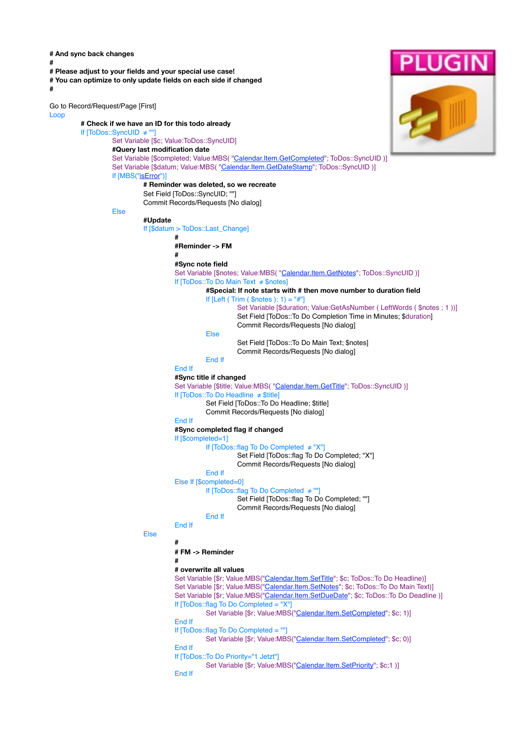**# And sync back changes # # Please adjust to your fields and your special use case! # You can optimize to only update fields on each side if changed #** Go to Record/Request/Page [First] Loop **# Check if we have an ID for this todo already** If [ToDos::SyncUID ≠ ""] Set Variable [\$c; Value:ToDos::SyncUID] **#Query last modification date** Set Variable [\$completed; Value:MBS( ["Calendar.Item.GetCompleted](http://www.mbsplugins.eu/CalendarItemGetCompleted.shtml)"; ToDos::SyncUID )] Set Variable [\$datum; Value:MBS( ["Calendar.Item.GetDateStamp](http://www.mbsplugins.eu/CalendarItemGetDateStamp.shtml)"; ToDos::SyncUID )] If [MBS(["isError](http://www.mbsplugins.eu/isError.shtml)")] **# Reminder was deleted, so we recreate** Set Field [ToDos::SyncUID: ""] Commit Records/Requests [No dialog] Else **#Update** If [\$datum > ToDos::Last\_Change] **# #Reminder -> FM # #Sync note field** Set Variable [\$notes; Value:MBS( ["Calendar.Item.GetNotes"](http://www.mbsplugins.eu/CalendarItemGetNotes.shtml); ToDos::SyncUID )] If [ToDos::To Do Main Text ≠ \$notes] **#Special: If note starts with # then move number to duration field** If  $[Left (trim ($notes ); 1) = "#"]$ Set Variable [\$duration; Value:GetAsNumber ( LeftWords ( \$notes ; 1 ))] Set Field [ToDos::To Do Completion Time in Minutes; \$duration] Commit Records/Requests [No dialog] Else Set Field [ToDos::To Do Main Text; \$notes] Commit Records/Requests [No dialog] End If End If **#Sync title if changed** Set Variable [\$title; Value:MBS( "[Calendar.Item.GetTitle](http://www.mbsplugins.eu/CalendarItemGetTitle.shtml)"; ToDos::SyncUID )] If [ToDos::To Do Headline ≠ \$title] Set Field [ToDos::To Do Headline; \$title] Commit Records/Requests [No dialog] End If **#Sync completed flag if changed** If [\$completed=1] If [ToDos::flag To Do Completed ≠ "X"] Set Field [ToDos::flag To Do Completed; "X"] Commit Records/Requests [No dialog] End If Else If [\$completed=0] If [ToDos::flag To Do Completed ≠ ""] Set Field [ToDos::flag To Do Completed; ""] Commit Records/Requests [No dialog] End If End If Else **# # FM -> Reminder # # overwrite all values** Set Variable [\$r; Value:MBS("[Calendar.Item.SetTitle](http://www.mbsplugins.eu/CalendarItemSetTitle.shtml)"; \$c; ToDos::To Do Headline)] Set Variable [\$r; Value:MBS("[Calendar.Item.SetNotes"](http://www.mbsplugins.eu/CalendarItemSetNotes.shtml); \$c; ToDos::To Do Main Text)] Set Variable [\$r; Value:MBS("[Calendar.Item.SetDueDate](http://www.mbsplugins.eu/CalendarItemSetDueDate.shtml)"; \$c; ToDos::To Do Deadline )] If [ToDos::flag To Do Completed = "X"] Set Variable [\$r; Value:MBS("[Calendar.Item.SetCompleted](http://www.mbsplugins.eu/CalendarItemSetCompleted.shtml)"; \$c; 1)] End If If [ToDos::flag To Do Completed = ""] Set Variable [\$r; Value:MBS("[Calendar.Item.SetCompleted](http://www.mbsplugins.eu/CalendarItemSetCompleted.shtml)"; \$c; 0)] End If If [ToDos::To Do Priority="1 Jetzt"] Set Variable [\$r; Value:MBS("[Calendar.Item.SetPriority"](http://www.mbsplugins.eu/CalendarItemSetPriority.shtml); \$c;1 )] End If